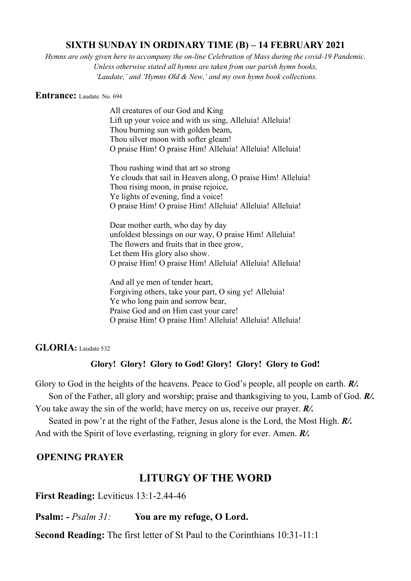# **SIXTH SUNDAY IN ORDINARY TIME (B) – 14 FEBRUARY 2021**

*Hymns are only given here to accompany the on-line Celebration of Mass during the covid-19 Pandemic. Unless otherwise stated all hymns are taken from our parish hymn books, 'Laudate,' and 'Hymns Old & New,' and my own hymn book collections.*

#### **Entrance:** Laudate. No. 694

All creatures of our God and King Lift up your voice and with us sing, Alleluia! Alleluia! Thou burning sun with golden beam, Thou silver moon with softer gleam! O praise Him! O praise Him! Alleluia! Alleluia! Alleluia!

Thou rushing wind that art so strong Ye clouds that sail in Heaven along, O praise Him! Alleluia! Thou rising moon, in praise rejoice, Ye lights of evening, find a voice! O praise Him! O praise Him! Alleluia! Alleluia! Alleluia!

Dear mother earth, who day by day unfoldest blessings on our way, O praise Him! Alleluia! The flowers and fruits that in thee grow, Let them His glory also show. O praise Him! O praise Him! Alleluia! Alleluia! Alleluia!

And all ye men of tender heart, Forgiving others, take your part, O sing ye! Alleluia! Ye who long pain and sorrow bear, Praise God and on Him cast your care! O praise Him! O praise Him! Alleluia! Alleluia! Alleluia!

**GLORIA:** Laudate 532

### **Glory! Glory! Glory to God! Glory! Glory! Glory to God!**

Glory to God in the heights of the heavens. Peace to God's people, all people on earth. *R/.* Son of the Father, all glory and worship; praise and thanksgiving to you, Lamb of God. *R/.*

You take away the sin of the world; have mercy on us, receive our prayer. *R/.*

 Seated in pow'r at the right of the Father, Jesus alone is the Lord, the Most High. *R/.* And with the Spirit of love everlasting, reigning in glory for ever. Amen. *R/.*

# **OPENING PRAYER**

# **LITURGY OF THE WORD**

**First Reading:** Leviticus 13:1-2.44-46

**Psalm: -** *Psalm 31:* **You are my refuge, O Lord.**

**Second Reading:** The first letter of St Paul to the Corinthians 10:31-11:1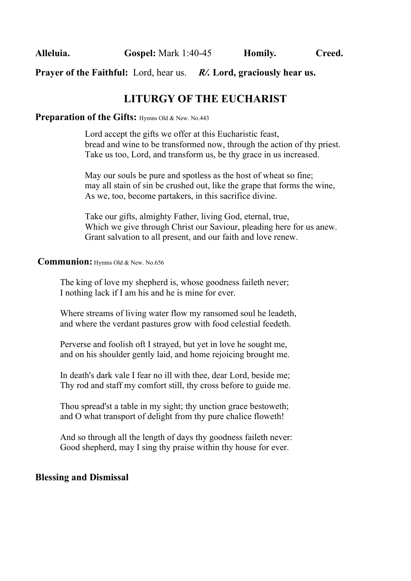**Prayer of the Faithful:** Lord, hear us. *R/.* **Lord, graciously hear us.**

# **LITURGY OF THE EUCHARIST**

## **Preparation of the Gifts: Hymns Old & New. No.443**

Lord accept the gifts we offer at this Eucharistic feast, bread and wine to be transformed now, through the action of thy priest. Take us too, Lord, and transform us, be thy grace in us increased.

May our souls be pure and spotless as the host of wheat so fine; may all stain of sin be crushed out, like the grape that forms the wine, As we, too, become partakers, in this sacrifice divine.

Take our gifts, almighty Father, living God, eternal, true, Which we give through Christ our Saviour, pleading here for us anew. Grant salvation to all present, and our faith and love renew.

### **Communion:** Hymns Old & New. No.656

The king of love my shepherd is, whose goodness faileth never; I nothing lack if I am his and he is mine for ever.

Where streams of living water flow my ransomed soul he leadeth, and where the verdant pastures grow with food celestial feedeth.

Perverse and foolish oft I strayed, but yet in love he sought me, and on his shoulder gently laid, and home rejoicing brought me.

In death's dark vale I fear no ill with thee, dear Lord, beside me; Thy rod and staff my comfort still, thy cross before to guide me.

Thou spread'st a table in my sight; thy unction grace bestoweth; and O what transport of delight from thy pure chalice floweth!

And so through all the length of days thy goodness faileth never: Good shepherd, may I sing thy praise within thy house for ever.

# **Blessing and Dismissal**